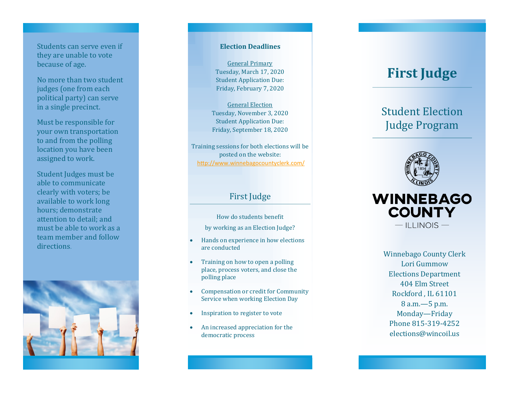Students can serve even if they are unable to vote because of age.

No more than two student judges (one from each political party) can serve in a single precinct.

Must be responsible for your own transportation to and from the polling location you have been assigned to work.

Student Judges must be able to communicate clearly with voters; be available to work long hours; demonstrate attention to detail; and must be able to work as a team member and follow directions.



#### **Election Deadlines**

General Primary Tuesday, March 17, 2020 Student Application Due: Friday, February 7, 2020

General Election Tuesday, November 3, 2020 Student Application Due: Friday, September 18, 2020

Training sessions for both elections will be posted on the website: <http://www.winnebagocountyclerk.com/>

## First Judge

How do students benefit by working as an Election Judge?

- Hands on experience in how elections are conducted
- Training on how to open a polling place, process voters, and close the polling place
- Compensation or credit for Community Service when working Election Day
- Inspiration to register to vote
- An increased appreciation for the democratic process

# **First Judge**

## Student Election Judge Program





Winnebago County Clerk Lori Gummow Elections Department 404 Elm Street Rockford , IL 61101 8 a.m. —5 p.m. Monday —Friday Phone 815 -319 -4252 elections@wincoil.us